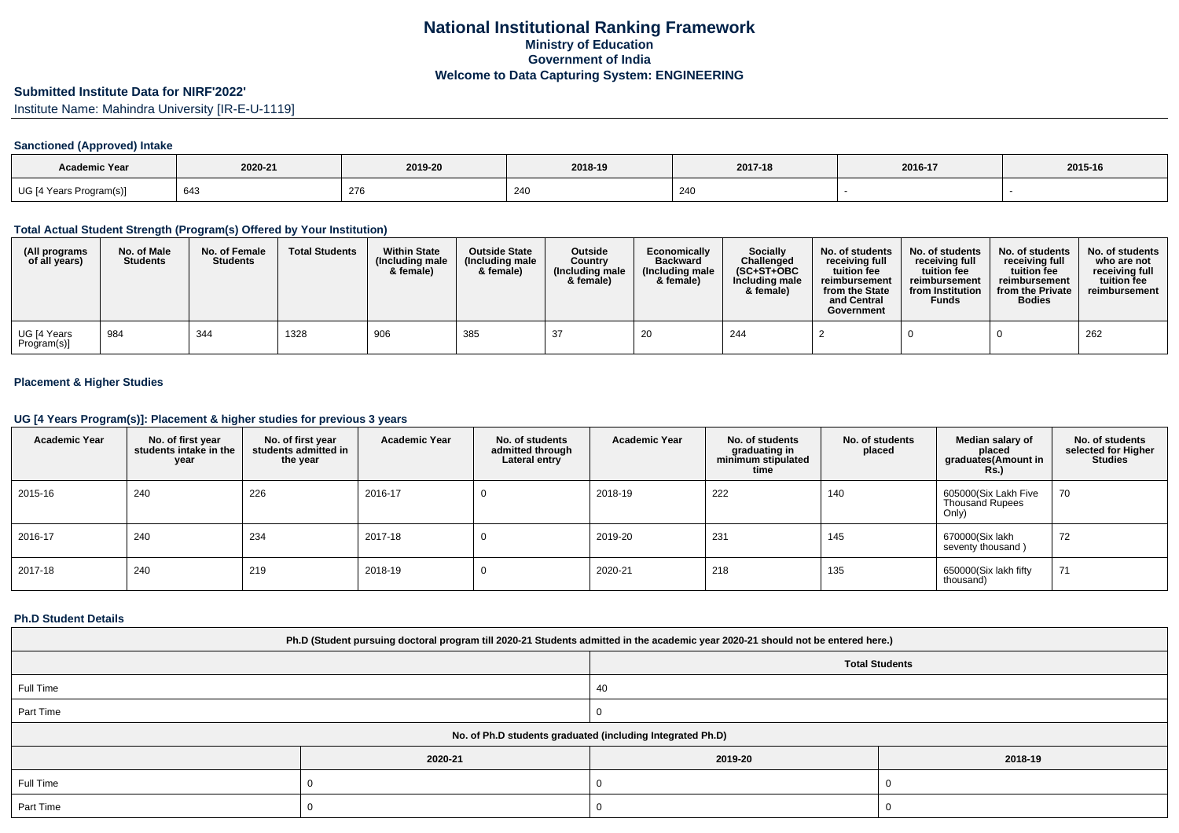# **Submitted Institute Data for NIRF'2022'**

Institute Name: Mahindra University [IR-E-U-1119]

### **Sanctioned (Approved) Intake**

| <b>Academic Year</b>    |         |         |                        |         |         |         |
|-------------------------|---------|---------|------------------------|---------|---------|---------|
|                         | 2020-21 | 2019-20 | 2018-19                | 2017-18 | 2016-17 | 2015-16 |
| UG [4 Years Program(s)] | 643     | 276     | $\Omega$<br><b>Z41</b> | 240     |         |         |

#### **Total Actual Student Strength (Program(s) Offered by Your Institution)**

| (All programs<br>of all years) | No. of Male<br><b>Students</b> | No. of Female<br><b>Students</b> | <b>Total Students</b> | <b>Within State</b><br>(Including male<br>& female) | <b>Outside State</b><br>(Including male<br>& female) | <b>Outside</b><br>Country<br>(Including male<br>& female) | Economically<br><b>Backward</b><br>(Including male<br>& female) | <b>Socially</b><br>Challenged<br>$(SC+ST+OBC)$<br>Including male<br>& female) | No. of students<br>receiving full<br>tuition fee<br>reimbursement<br>from the State<br>and Central<br>Government | No. of students<br>receiving full<br>tuition fee<br>reimbursement<br>from Institution<br><b>Funds</b> | No. of students<br>receiving full<br>tuition fee<br>reimbursement<br>from the Private<br><b>Bodies</b> | No. of students<br>who are not<br>receiving full<br>tuition fee<br>reimbursement |
|--------------------------------|--------------------------------|----------------------------------|-----------------------|-----------------------------------------------------|------------------------------------------------------|-----------------------------------------------------------|-----------------------------------------------------------------|-------------------------------------------------------------------------------|------------------------------------------------------------------------------------------------------------------|-------------------------------------------------------------------------------------------------------|--------------------------------------------------------------------------------------------------------|----------------------------------------------------------------------------------|
| UG [4 Years<br>Program(s)]     | 984                            | 344                              | 1328                  | 906                                                 | 385                                                  | -37                                                       | 20                                                              | 244                                                                           |                                                                                                                  |                                                                                                       |                                                                                                        | 262                                                                              |

### **Placement & Higher Studies**

#### **UG [4 Years Program(s)]: Placement & higher studies for previous 3 years**

| <b>Academic Year</b> | No. of first year<br>students intake in the<br>year | No. of first year<br>students admitted in<br>the year | <b>Academic Year</b> | No. of students<br>admitted through<br>Lateral entry | <b>Academic Year</b> | No. of students<br>graduating in<br>minimum stipulated<br>time | No. of students<br>placed | Median salary of<br>placed<br>graduates(Amount in<br><b>Rs.)</b> | No. of students<br>selected for Higher<br><b>Studies</b> |
|----------------------|-----------------------------------------------------|-------------------------------------------------------|----------------------|------------------------------------------------------|----------------------|----------------------------------------------------------------|---------------------------|------------------------------------------------------------------|----------------------------------------------------------|
| 2015-16              | 240                                                 | 226                                                   | 2016-17              |                                                      | 2018-19              | 222                                                            | 140                       | 605000(Six Lakh Five<br><b>Thousand Rupees</b><br>Only)          | 70                                                       |
| 2016-17              | 240                                                 | 234                                                   | 2017-18              | v                                                    | 2019-20              | 231                                                            | 145                       | 670000(Six lakh<br>seventy thousand)                             | 72                                                       |
| 2017-18              | 240                                                 | 219                                                   | 2018-19              | U                                                    | 2020-21              | 218                                                            | 135                       | 650000(Six lakh fifty<br>thousand)                               | 71                                                       |

#### **Ph.D Student Details**

| Ph.D (Student pursuing doctoral program till 2020-21 Students admitted in the academic year 2020-21 should not be entered here.) |                                                            |                       |  |  |  |  |  |  |
|----------------------------------------------------------------------------------------------------------------------------------|------------------------------------------------------------|-----------------------|--|--|--|--|--|--|
|                                                                                                                                  |                                                            | <b>Total Students</b> |  |  |  |  |  |  |
| Full Time                                                                                                                        |                                                            | 40                    |  |  |  |  |  |  |
| Part Time                                                                                                                        |                                                            |                       |  |  |  |  |  |  |
|                                                                                                                                  | No. of Ph.D students graduated (including Integrated Ph.D) |                       |  |  |  |  |  |  |
|                                                                                                                                  | 2020-21                                                    | 2019-20<br>2018-19    |  |  |  |  |  |  |
| Full Time                                                                                                                        |                                                            |                       |  |  |  |  |  |  |
| Part Time                                                                                                                        |                                                            |                       |  |  |  |  |  |  |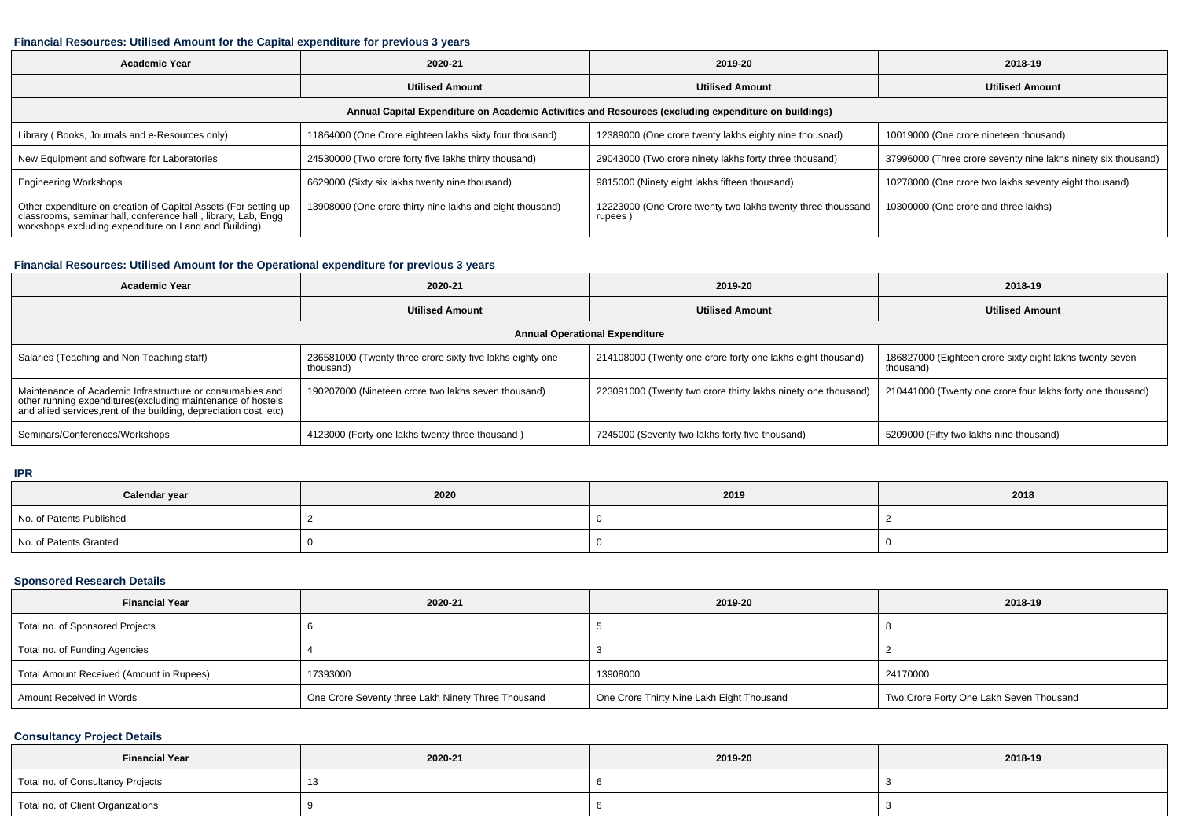### **Financial Resources: Utilised Amount for the Capital expenditure for previous 3 years**

| <b>Academic Year</b>                                                                                                                                                                      | 2020-21                                                   | 2019-20                                                               | 2018-19                                                       |  |  |  |  |  |  |
|-------------------------------------------------------------------------------------------------------------------------------------------------------------------------------------------|-----------------------------------------------------------|-----------------------------------------------------------------------|---------------------------------------------------------------|--|--|--|--|--|--|
|                                                                                                                                                                                           | <b>Utilised Amount</b>                                    | <b>Utilised Amount</b>                                                | <b>Utilised Amount</b>                                        |  |  |  |  |  |  |
| Annual Capital Expenditure on Academic Activities and Resources (excluding expenditure on buildings)                                                                                      |                                                           |                                                                       |                                                               |  |  |  |  |  |  |
| Library (Books, Journals and e-Resources only)                                                                                                                                            | 11864000 (One Crore eighteen lakhs sixty four thousand)   | 12389000 (One crore twenty lakhs eighty nine thousnad)                | 10019000 (One crore nineteen thousand)                        |  |  |  |  |  |  |
| New Equipment and software for Laboratories                                                                                                                                               | 24530000 (Two crore forty five lakhs thirty thousand)     | 29043000 (Two crore ninety lakhs forty three thousand)                | 37996000 (Three crore seventy nine lakhs ninety six thousand) |  |  |  |  |  |  |
| <b>Engineering Workshops</b>                                                                                                                                                              | 6629000 (Sixty six lakhs twenty nine thousand)            | 9815000 (Ninety eight lakhs fifteen thousand)                         | 10278000 (One crore two lakhs seventy eight thousand)         |  |  |  |  |  |  |
| Other expenditure on creation of Capital Assets (For setting up<br>classrooms, seminar hall, conference hall, library, Lab, Engg<br>workshops excluding expenditure on Land and Building) | 13908000 (One crore thirty nine lakhs and eight thousand) | 12223000 (One Crore twenty two lakhs twenty three thoussand<br>rupees | 10300000 (One crore and three lakhs)                          |  |  |  |  |  |  |

### **Financial Resources: Utilised Amount for the Operational expenditure for previous 3 years**

| <b>Academic Year</b>                                                                                                                                                                           | 2020-21                                                                | 2019-20                                                       | 2018-19                                                               |  |  |  |  |  |  |
|------------------------------------------------------------------------------------------------------------------------------------------------------------------------------------------------|------------------------------------------------------------------------|---------------------------------------------------------------|-----------------------------------------------------------------------|--|--|--|--|--|--|
|                                                                                                                                                                                                | <b>Utilised Amount</b>                                                 | <b>Utilised Amount</b>                                        | <b>Utilised Amount</b>                                                |  |  |  |  |  |  |
| <b>Annual Operational Expenditure</b>                                                                                                                                                          |                                                                        |                                                               |                                                                       |  |  |  |  |  |  |
| Salaries (Teaching and Non Teaching staff)                                                                                                                                                     | 236581000 (Twenty three crore sixty five lakhs eighty one<br>thousand) | 214108000 (Twenty one crore forty one lakhs eight thousand)   | 186827000 (Eighteen crore sixty eight lakhs twenty seven<br>thousand) |  |  |  |  |  |  |
| Maintenance of Academic Infrastructure or consumables and<br>other running expenditures(excluding maintenance of hostels<br>and allied services, rent of the building, depreciation cost, etc) | 190207000 (Nineteen crore two lakhs seven thousand)                    | 223091000 (Twenty two crore thirty lakhs ninety one thousand) | 210441000 (Twenty one crore four lakhs forty one thousand)            |  |  |  |  |  |  |
| Seminars/Conferences/Workshops                                                                                                                                                                 | 4123000 (Forty one lakhs twenty three thousand)                        | 7245000 (Seventy two lakhs forty five thousand)               | 5209000 (Fifty two lakhs nine thousand)                               |  |  |  |  |  |  |

**IPR**

| Calendar year            | 2020 | 2019 | 2018 |
|--------------------------|------|------|------|
| No. of Patents Published |      |      |      |
| No. of Patents Granted   |      |      |      |

# **Sponsored Research Details**

| <b>Financial Year</b>                    | 2020-21                                            | 2019-20                                   | 2018-19                                 |
|------------------------------------------|----------------------------------------------------|-------------------------------------------|-----------------------------------------|
| Total no. of Sponsored Projects          |                                                    |                                           |                                         |
| Total no. of Funding Agencies            |                                                    |                                           |                                         |
| Total Amount Received (Amount in Rupees) | 17393000                                           | 13908000                                  | 24170000                                |
| Amount Received in Words                 | One Crore Seventy three Lakh Ninety Three Thousand | One Crore Thirty Nine Lakh Eight Thousand | Two Crore Forty One Lakh Seven Thousand |

### **Consultancy Project Details**

| <b>Financial Year</b>             | 2020-21 | 2019-20 | 2018-19 |
|-----------------------------------|---------|---------|---------|
| Total no. of Consultancy Projects |         |         |         |
| Total no. of Client Organizations |         |         |         |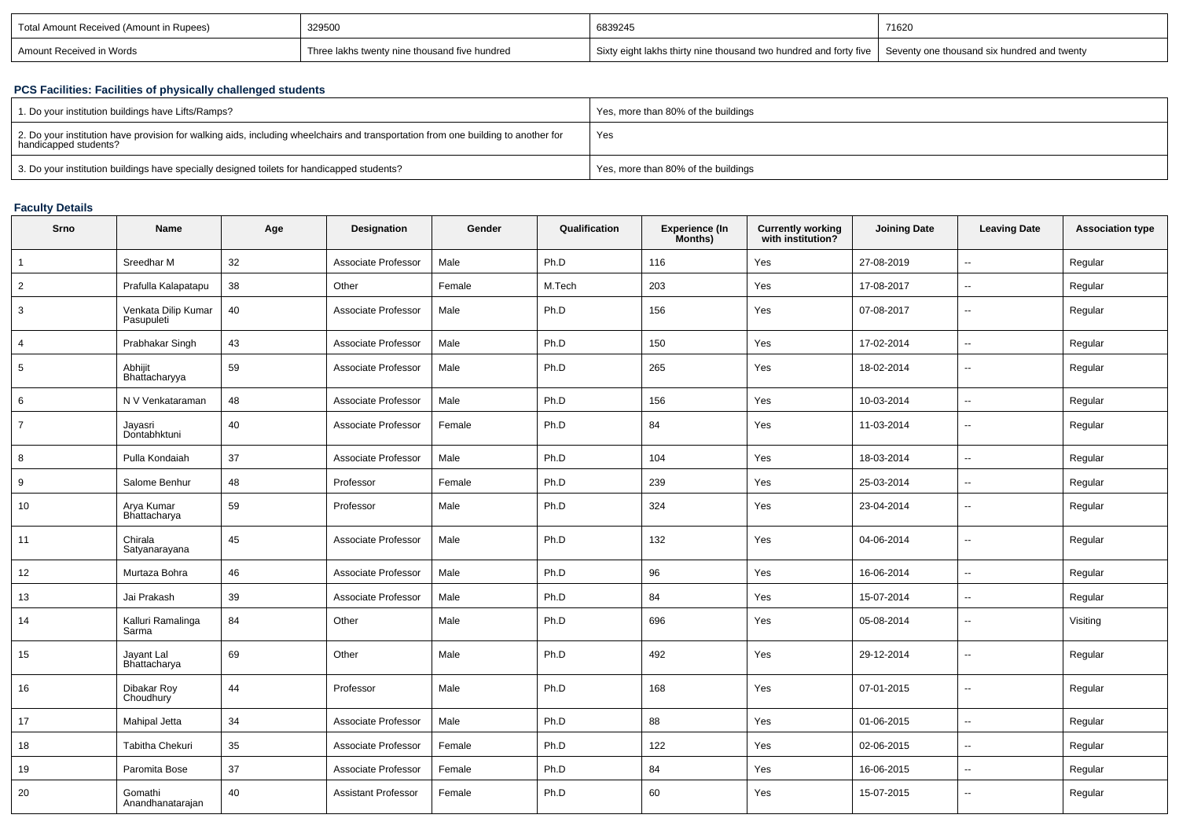| Total Amount Received (Amount in Rupees) | 329500                                        | 6839245                                                           | 71620                                         |
|------------------------------------------|-----------------------------------------------|-------------------------------------------------------------------|-----------------------------------------------|
| Amount Received in Words                 | Three lakhs twenty nine thousand five hundred | Sixty eight lakhs thirty nine thousand two hundred and forty five | I Seventy one thousand six hundred and twenty |

### **PCS Facilities: Facilities of physically challenged students**

| 1. Do your institution buildings have Lifts/Ramps?                                                                                                         | Yes, more than 80% of the buildings |
|------------------------------------------------------------------------------------------------------------------------------------------------------------|-------------------------------------|
| 2. Do your institution have provision for walking aids, including wheelchairs and transportation from one building to another for<br>handicapped students? | Yes                                 |
| 3. Do your institution buildings have specially designed toilets for handicapped students?                                                                 | Yes, more than 80% of the buildings |

# **Faculty Details**

| Srno           | Name                              | Age | Designation                | Gender | Qualification | Experience (In<br>Months) | Currently working<br>with institution? | <b>Joining Date</b> | <b>Leaving Date</b>      | <b>Association type</b> |
|----------------|-----------------------------------|-----|----------------------------|--------|---------------|---------------------------|----------------------------------------|---------------------|--------------------------|-------------------------|
| $\overline{1}$ | Sreedhar M                        | 32  | Associate Professor        | Male   | Ph.D          | 116                       | Yes                                    | 27-08-2019          | $\overline{\phantom{a}}$ | Regular                 |
| $\overline{2}$ | Prafulla Kalapatapu               | 38  | Other                      | Female | M.Tech        | 203                       | Yes                                    | 17-08-2017          | $\sim$                   | Regular                 |
| 3              | Venkata Dilip Kumar<br>Pasupuleti | 40  | Associate Professor        | Male   | Ph.D          | 156                       | Yes                                    | 07-08-2017          | $\sim$                   | Regular                 |
| $\overline{4}$ | Prabhakar Singh                   | 43  | Associate Professor        | Male   | Ph.D          | 150                       | Yes                                    | 17-02-2014          | $\overline{\phantom{a}}$ | Regular                 |
| 5              | Abhijit<br>Bhattacharyya          | 59  | Associate Professor        | Male   | Ph.D          | 265                       | Yes                                    | 18-02-2014          | $\overline{\phantom{a}}$ | Regular                 |
| 6              | N V Venkataraman                  | 48  | Associate Professor        | Male   | Ph.D          | 156                       | Yes                                    | 10-03-2014          | $\overline{\phantom{a}}$ | Regular                 |
| $\overline{7}$ | Jayasri<br>Dontabhktuni           | 40  | Associate Professor        | Female | Ph.D          | 84                        | Yes                                    | 11-03-2014          | $\overline{\phantom{a}}$ | Regular                 |
| 8              | Pulla Kondaiah                    | 37  | Associate Professor        | Male   | Ph.D          | 104                       | Yes                                    | 18-03-2014          | $\sim$                   | Regular                 |
| 9              | Salome Benhur                     | 48  | Professor                  | Female | Ph.D          | 239                       | Yes                                    | 25-03-2014          | $\sim$                   | Regular                 |
| 10             | Arya Kumar<br>Bhattacharya        | 59  | Professor                  | Male   | Ph.D          | 324                       | Yes                                    | 23-04-2014          | $\sim$                   | Regular                 |
| 11             | Chirala<br>Satyanarayana          | 45  | Associate Professor        | Male   | Ph.D          | 132                       | Yes                                    | 04-06-2014          | $\sim$                   | Regular                 |
| 12             | Murtaza Bohra                     | 46  | Associate Professor        | Male   | Ph.D          | 96                        | Yes                                    | 16-06-2014          | $\overline{\phantom{a}}$ | Regular                 |
| 13             | Jai Prakash                       | 39  | Associate Professor        | Male   | Ph.D          | 84                        | Yes                                    | 15-07-2014          | $\sim$                   | Regular                 |
| 14             | Kalluri Ramalinga<br>Sarma        | 84  | Other                      | Male   | Ph.D          | 696                       | Yes                                    | 05-08-2014          | $\sim$                   | Visiting                |
| 15             | Jayant Lal<br>Bhattacharya        | 69  | Other                      | Male   | Ph.D          | 492                       | Yes                                    | 29-12-2014          | $\overline{\phantom{a}}$ | Regular                 |
| 16             | Dibakar Roy<br>Choudhury          | 44  | Professor                  | Male   | Ph.D          | 168                       | Yes                                    | 07-01-2015          | $\overline{a}$           | Regular                 |
| 17             | Mahipal Jetta                     | 34  | Associate Professor        | Male   | Ph.D          | 88                        | Yes                                    | 01-06-2015          | $\sim$                   | Regular                 |
| 18             | Tabitha Chekuri                   | 35  | Associate Professor        | Female | Ph.D          | 122                       | Yes                                    | 02-06-2015          | $\sim$                   | Regular                 |
| 19             | Paromita Bose                     | 37  | Associate Professor        | Female | Ph.D          | 84                        | Yes                                    | 16-06-2015          | $\overline{\phantom{a}}$ | Regular                 |
| 20             | Gomathi<br>Anandhanatarajan       | 40  | <b>Assistant Professor</b> | Female | Ph.D          | 60                        | Yes                                    | 15-07-2015          | $\overline{\phantom{a}}$ | Regular                 |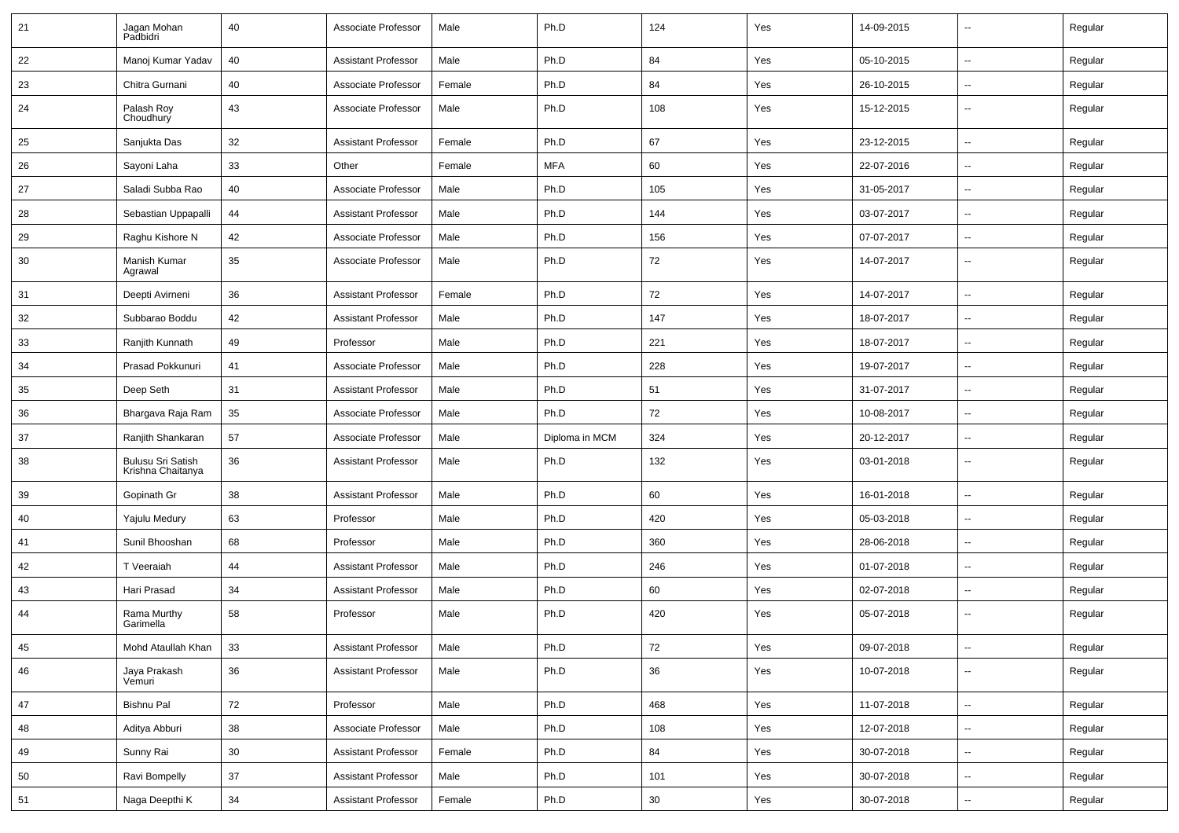| 21 | Jagan Mohan<br>Padbidri                | 40 | Associate Professor        | Male   | Ph.D           | 124    | Yes | 14-09-2015 | $\overline{\phantom{a}}$ | Regular |
|----|----------------------------------------|----|----------------------------|--------|----------------|--------|-----|------------|--------------------------|---------|
| 22 | Manoj Kumar Yadav                      | 40 | <b>Assistant Professor</b> | Male   | Ph.D           | 84     | Yes | 05-10-2015 | $\overline{\phantom{a}}$ | Regular |
| 23 | Chitra Gurnani                         | 40 | Associate Professor        | Female | Ph.D           | 84     | Yes | 26-10-2015 | ⊷.                       | Regular |
| 24 | Palash Roy<br>Choudhury                | 43 | Associate Professor        | Male   | Ph.D           | 108    | Yes | 15-12-2015 | --                       | Regular |
| 25 | Sanjukta Das                           | 32 | <b>Assistant Professor</b> | Female | Ph.D           | 67     | Yes | 23-12-2015 | $\overline{\phantom{a}}$ | Regular |
| 26 | Sayoni Laha                            | 33 | Other                      | Female | <b>MFA</b>     | 60     | Yes | 22-07-2016 | --                       | Regular |
| 27 | Saladi Subba Rao                       | 40 | Associate Professor        | Male   | Ph.D           | 105    | Yes | 31-05-2017 | --                       | Regular |
| 28 | Sebastian Uppapalli                    | 44 | <b>Assistant Professor</b> | Male   | Ph.D           | 144    | Yes | 03-07-2017 | $\overline{\phantom{a}}$ | Regular |
| 29 | Raghu Kishore N                        | 42 | Associate Professor        | Male   | Ph.D           | 156    | Yes | 07-07-2017 | $\overline{\phantom{a}}$ | Regular |
| 30 | Manish Kumar<br>Agrawal                | 35 | Associate Professor        | Male   | Ph.D           | 72     | Yes | 14-07-2017 | $\overline{\phantom{a}}$ | Regular |
| 31 | Deepti Avirneni                        | 36 | <b>Assistant Professor</b> | Female | Ph.D           | 72     | Yes | 14-07-2017 | ⊷.                       | Regular |
| 32 | Subbarao Boddu                         | 42 | <b>Assistant Professor</b> | Male   | Ph.D           | 147    | Yes | 18-07-2017 | $\overline{\phantom{a}}$ | Regular |
| 33 | Ranjith Kunnath                        | 49 | Professor                  | Male   | Ph.D           | 221    | Yes | 18-07-2017 | --                       | Regular |
| 34 | Prasad Pokkunuri                       | 41 | Associate Professor        | Male   | Ph.D           | 228    | Yes | 19-07-2017 | --                       | Regular |
| 35 | Deep Seth                              | 31 | <b>Assistant Professor</b> | Male   | Ph.D           | 51     | Yes | 31-07-2017 | $\sim$                   | Regular |
| 36 | Bhargava Raja Ram                      | 35 | Associate Professor        | Male   | Ph.D           | 72     | Yes | 10-08-2017 | $\overline{\phantom{a}}$ | Regular |
| 37 | Ranjith Shankaran                      | 57 | Associate Professor        | Male   | Diploma in MCM | 324    | Yes | 20-12-2017 | ⊷.                       | Regular |
| 38 | Bulusu Sri Satish<br>Krishna Chaitanya | 36 | <b>Assistant Professor</b> | Male   | Ph.D           | 132    | Yes | 03-01-2018 | --                       | Regular |
| 39 | Gopinath Gr                            | 38 | <b>Assistant Professor</b> | Male   | Ph.D           | 60     | Yes | 16-01-2018 | --                       | Regular |
| 40 | Yajulu Medury                          | 63 | Professor                  | Male   | Ph.D           | 420    | Yes | 05-03-2018 | --                       | Regular |
| 41 | Sunil Bhooshan                         | 68 | Professor                  | Male   | Ph.D           | 360    | Yes | 28-06-2018 | --                       | Regular |
| 42 | T Veeraiah                             | 44 | <b>Assistant Professor</b> | Male   | Ph.D           | 246    | Yes | 01-07-2018 | $\overline{a}$           | Regular |
| 43 | Hari Prasad                            | 34 | <b>Assistant Professor</b> | Male   | Ph.D           | 60     | Yes | 02-07-2018 | $\overline{\phantom{a}}$ | Regular |
| 44 | Rama Murthy<br>Garimella               | 58 | Professor                  | Male   | Ph.D           | 420    | Yes | 05-07-2018 | --                       | Regular |
| 45 | Mohd Ataullah Khan                     | 33 | <b>Assistant Professor</b> | Male   | Ph.D           | 72     | Yes | 09-07-2018 | $\overline{\phantom{a}}$ | Regular |
| 46 | Jaya Prakash<br>Vemuri                 | 36 | <b>Assistant Professor</b> | Male   | Ph.D           | 36     | Yes | 10-07-2018 | $\overline{\phantom{a}}$ | Regular |
| 47 | Bishnu Pal                             | 72 | Professor                  | Male   | Ph.D           | 468    | Yes | 11-07-2018 | Щ,                       | Regular |
| 48 | Aditya Abburi                          | 38 | Associate Professor        | Male   | Ph.D           | 108    | Yes | 12-07-2018 | ⊶.                       | Regular |
| 49 | Sunny Rai                              | 30 | <b>Assistant Professor</b> | Female | Ph.D           | 84     | Yes | 30-07-2018 | $\sim$                   | Regular |
| 50 | Ravi Bompelly                          | 37 | <b>Assistant Professor</b> | Male   | Ph.D           | 101    | Yes | 30-07-2018 | Щ,                       | Regular |
| 51 | Naga Deepthi K                         | 34 | <b>Assistant Professor</b> | Female | Ph.D           | $30\,$ | Yes | 30-07-2018 | Щ,                       | Regular |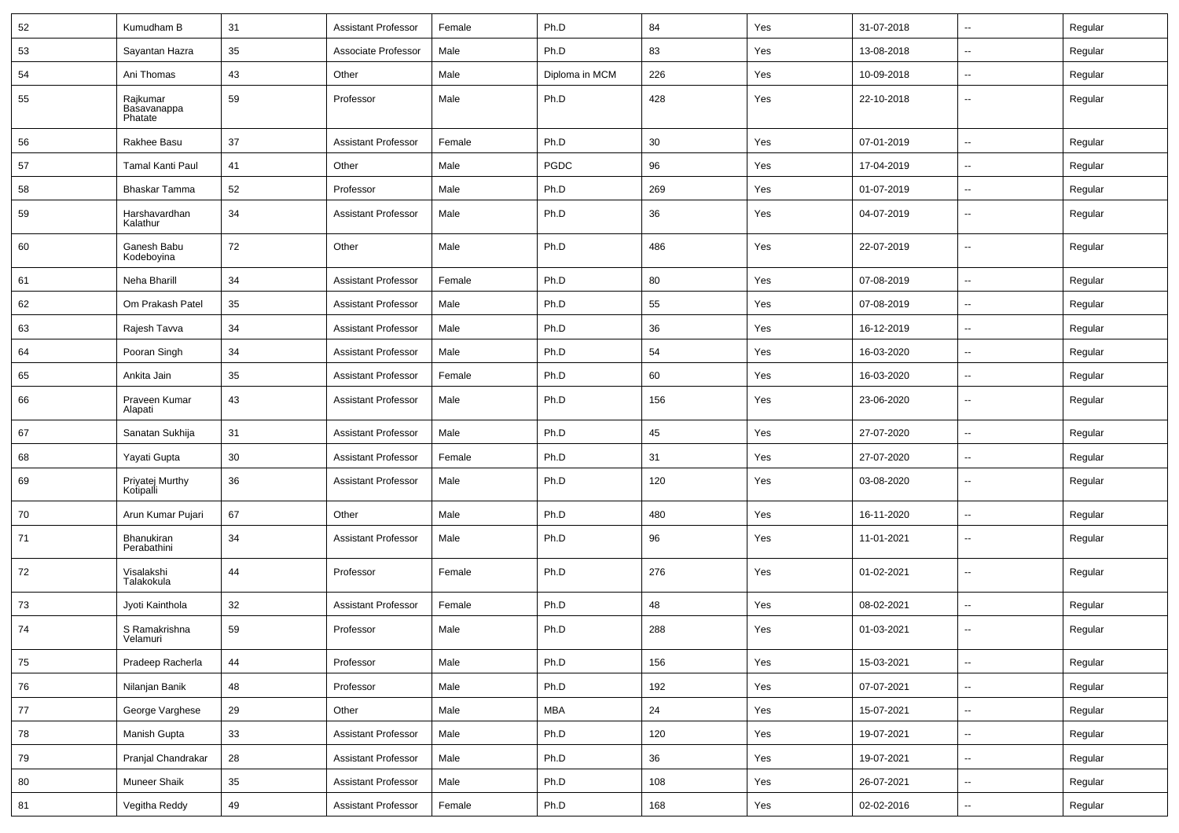| 52 | Kumudham B                         | 31         | <b>Assistant Professor</b> | Female | Ph.D           | 84  | Yes | 31-07-2018 | $\sim$                   | Regular |
|----|------------------------------------|------------|----------------------------|--------|----------------|-----|-----|------------|--------------------------|---------|
| 53 | Sayantan Hazra                     | 35         | Associate Professor        | Male   | Ph.D           | 83  | Yes | 13-08-2018 | $\overline{\phantom{a}}$ | Regular |
| 54 | Ani Thomas                         | 43         | Other                      | Male   | Diploma in MCM | 226 | Yes | 10-09-2018 |                          | Regular |
| 55 | Rajkumar<br>Basavanappa<br>Phatate | 59         | Professor                  | Male   | Ph.D           | 428 | Yes | 22-10-2018 | --                       | Regular |
| 56 | Rakhee Basu                        | 37         | <b>Assistant Professor</b> | Female | Ph.D           | 30  | Yes | 07-01-2019 | --                       | Regular |
| 57 | <b>Tamal Kanti Paul</b>            | 41         | Other                      | Male   | PGDC           | 96  | Yes | 17-04-2019 | $\overline{a}$           | Regular |
| 58 | Bhaskar Tamma                      | 52         | Professor                  | Male   | Ph.D           | 269 | Yes | 01-07-2019 | $\overline{\phantom{a}}$ | Regular |
| 59 | Harshavardhan<br>Kalathur          | 34         | <b>Assistant Professor</b> | Male   | Ph.D           | 36  | Yes | 04-07-2019 | --                       | Regular |
| 60 | Ganesh Babu<br>Kodeboyina          | 72         | Other                      | Male   | Ph.D           | 486 | Yes | 22-07-2019 | --                       | Regular |
| 61 | Neha Bharill                       | 34         | <b>Assistant Professor</b> | Female | Ph.D           | 80  | Yes | 07-08-2019 | $\overline{\phantom{a}}$ | Regular |
| 62 | Om Prakash Patel                   | 35         | <b>Assistant Professor</b> | Male   | Ph.D           | 55  | Yes | 07-08-2019 | $\sim$                   | Regular |
| 63 | Rajesh Tavva                       | 34         | <b>Assistant Professor</b> | Male   | Ph.D           | 36  | Yes | 16-12-2019 | $\sim$                   | Regular |
| 64 | Pooran Singh                       | 34         | <b>Assistant Professor</b> | Male   | Ph.D           | 54  | Yes | 16-03-2020 | --                       | Regular |
| 65 | Ankita Jain                        | 35         | <b>Assistant Professor</b> | Female | Ph.D           | 60  | Yes | 16-03-2020 | $\overline{\phantom{a}}$ | Regular |
| 66 | Praveen Kumar<br>Alapati           | 43         | <b>Assistant Professor</b> | Male   | Ph.D           | 156 | Yes | 23-06-2020 | $\overline{a}$           | Regular |
| 67 | Sanatan Sukhija                    | 31         | <b>Assistant Professor</b> | Male   | Ph.D           | 45  | Yes | 27-07-2020 | $\overline{\phantom{a}}$ | Regular |
| 68 | Yayati Gupta                       | 30         | <b>Assistant Professor</b> | Female | Ph.D           | 31  | Yes | 27-07-2020 | --                       | Regular |
| 69 | Priyatej Murthy<br>Kotipalli       | 36         | <b>Assistant Professor</b> | Male   | Ph.D           | 120 | Yes | 03-08-2020 | $\overline{\phantom{a}}$ | Regular |
| 70 | Arun Kumar Pujari                  | 67         | Other                      | Male   | Ph.D           | 480 | Yes | 16-11-2020 | $\overline{a}$           | Regular |
| 71 | Bhanukiran<br>Perabathini          | 34         | <b>Assistant Professor</b> | Male   | Ph.D           | 96  | Yes | 11-01-2021 | $\overline{\phantom{a}}$ | Regular |
| 72 | Visalakshi<br>Talakokula           | 44         | Professor                  | Female | Ph.D           | 276 | Yes | 01-02-2021 | $\overline{\phantom{a}}$ | Regular |
| 73 | Jyoti Kainthola                    | 32         | Assistant Professor        | Female | Ph.D           | 48  | Yes | 08-02-2021 | $\sim$                   | Regular |
| 74 | S Ramakrishna<br>Velamuri          | 59         | Professor                  | Male   | Ph.D           | 288 | Yes | 01-03-2021 |                          | Regular |
| 75 | Pradeep Racherla                   | 44         | Professor                  | Male   | Ph.D           | 156 | Yes | 15-03-2021 | $\sim$                   | Regular |
| 76 | Nilanjan Banik                     | 48         | Professor                  | Male   | Ph.D           | 192 | Yes | 07-07-2021 | ÷.                       | Regular |
| 77 | George Varghese                    | 29         | Other                      | Male   | MBA            | 24  | Yes | 15-07-2021 | $\sim$                   | Regular |
| 78 | Manish Gupta                       | 33         | <b>Assistant Professor</b> | Male   | Ph.D           | 120 | Yes | 19-07-2021 | $\overline{\phantom{a}}$ | Regular |
| 79 | Pranjal Chandrakar                 | ${\bf 28}$ | Assistant Professor        | Male   | Ph.D           | 36  | Yes | 19-07-2021 | $\ddot{\phantom{a}}$     | Regular |
| 80 | <b>Muneer Shaik</b>                | 35         | <b>Assistant Professor</b> | Male   | Ph.D           | 108 | Yes | 26-07-2021 | $\overline{\phantom{a}}$ | Regular |
| 81 | Vegitha Reddy                      | 49         | Assistant Professor        | Female | Ph.D           | 168 | Yes | 02-02-2016 | н.                       | Regular |